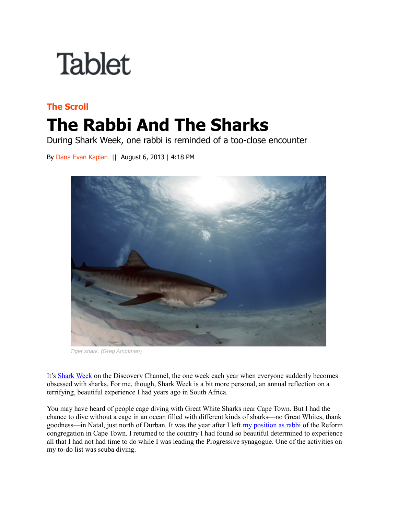## **Tablet**

## **The Scroll The Rabbi And The Sharks**

During Shark Week, one rabbi is reminded of a too-close encounter

By Dana Evan Kaplan || August 6, 2013 | 4:18 PM



Tiger shark. (Greg Amptman)

It's [Shark Week](http://dsc.discovery.com/tv-shows/shark-week) on the Discovery Channel, the one week each year when everyone suddenly becomes obsessed with sharks. For me, though, Shark Week is a bit more personal, an annual reflection on a terrifying, beautiful experience I had years ago in South Africa.

You may have heard of people cage diving with Great White Sharks near Cape Town. But I had the chance to dive without a cage in an ocean filled with different kinds of sharks—no Great Whites, thank goodness—in Natal, just north of Durban. It was the year after I left [my position as rabbi](https://www.tabletmag.com/scroll/136241/the-rabbi-and-nelson-mandela) of the Reform congregation in Cape Town. I returned to the country I had found so beautiful determined to experience all that I had not had time to do while I was leading the Progressive synagogue. One of the activities on my to-do list was scuba diving.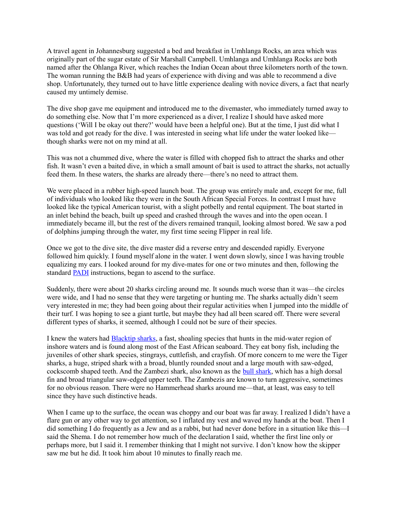A travel agent in Johannesburg suggested a bed and breakfast in Umhlanga Rocks, an area which was originally part of the sugar estate of Sir Marshall Campbell. Umhlanga and Umhlanga Rocks are both named after the Ohlanga River, which reaches the Indian Ocean about three kilometers north of the town. The woman running the B&B had years of experience with diving and was able to recommend a dive shop. Unfortunately, they turned out to have little experience dealing with novice divers, a fact that nearly caused my untimely demise.

The dive shop gave me equipment and introduced me to the divemaster, who immediately turned away to do something else. Now that I'm more experienced as a diver, I realize I should have asked more questions ('Will I be okay out there?' would have been a helpful one). But at the time, I just did what I was told and got ready for the dive. I was interested in seeing what life under the water looked like though sharks were not on my mind at all.

This was not a chummed dive, where the water is filled with chopped fish to attract the sharks and other fish. It wasn't even a baited dive, in which a small amount of bait is used to attract the sharks, not actually feed them. In these waters, the sharks are already there—there's no need to attract them.

We were placed in a rubber high-speed launch boat. The group was entirely male and, except for me, full of individuals who looked like they were in the South African Special Forces. In contrast I must have looked like the typical American tourist, with a slight potbelly and rental equipment. The boat started in an inlet behind the beach, built up speed and crashed through the waves and into the open ocean. I immediately became ill, but the rest of the divers remained tranquil, looking almost bored. We saw a pod of dolphins jumping through the water, my first time seeing Flipper in real life.

Once we got to the dive site, the dive master did a reverse entry and descended rapidly. Everyone followed him quickly. I found myself alone in the water. I went down slowly, since I was having trouble equalizing my ears. I looked around for my dive-mates for one or two minutes and then, following the standard [PADI](http://www.padi.com/scuba/) instructions, began to ascend to the surface.

Suddenly, there were about 20 sharks circling around me. It sounds much worse than it was—the circles were wide, and I had no sense that they were targeting or hunting me. The sharks actually didn't seem very interested in me; they had been going about their regular activities when I jumped into the middle of their turf. I was hoping to see a giant turtle, but maybe they had all been scared off. There were several different types of sharks, it seemed, although I could not be sure of their species.

I knew the waters had [Blacktip sharks,](http://en.wikipedia.org/wiki/Blacktip_shark) a fast, shoaling species that hunts in the mid-water region of inshore waters and is found along most of the East African seaboard. They eat bony fish, including the juveniles of other shark species, stingrays, cuttlefish, and crayfish. Of more concern to me were the Tiger sharks, a huge, striped shark with a broad, bluntly rounded snout and a large mouth with saw-edged, cockscomb shaped teeth. And the Zambezi shark, also known as the [bull shark,](https://en.wikipedia.org/wiki/Bull_shark) which has a high dorsal fin and broad triangular saw-edged upper teeth. The Zambezis are known to turn aggressive, sometimes for no obvious reason. There were no Hammerhead sharks around me—that, at least, was easy to tell since they have such distinctive heads.

When I came up to the surface, the ocean was choppy and our boat was far away. I realized I didn't have a flare gun or any other way to get attention, so I inflated my vest and waved my hands at the boat. Then I did something I do frequently as a Jew and as a rabbi, but had never done before in a situation like this—I said the Shema. I do not remember how much of the declaration I said, whether the first line only or perhaps more, but I said it. I remember thinking that I might not survive. I don't know how the skipper saw me but he did. It took him about 10 minutes to finally reach me.